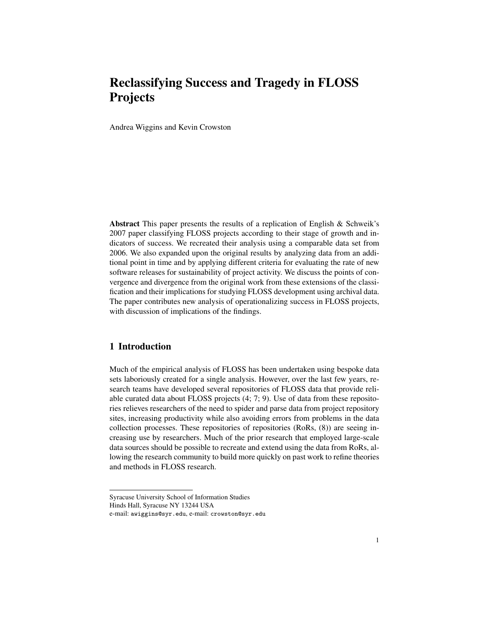# Reclassifying Success and Tragedy in FLOSS Projects

Andrea Wiggins and Kevin Crowston

Abstract This paper presents the results of a replication of English & Schweik's 2007 paper classifying FLOSS projects according to their stage of growth and indicators of success. We recreated their analysis using a comparable data set from 2006. We also expanded upon the original results by analyzing data from an additional point in time and by applying different criteria for evaluating the rate of new software releases for sustainability of project activity. We discuss the points of convergence and divergence from the original work from these extensions of the classification and their implications for studying FLOSS development using archival data. The paper contributes new analysis of operationalizing success in FLOSS projects, with discussion of implications of the findings.

# 1 Introduction

Much of the empirical analysis of FLOSS has been undertaken using bespoke data sets laboriously created for a single analysis. However, over the last few years, research teams have developed several repositories of FLOSS data that provide reliable curated data about FLOSS projects (4; 7; 9). Use of data from these repositories relieves researchers of the need to spider and parse data from project repository sites, increasing productivity while also avoiding errors from problems in the data collection processes. These repositories of repositories (RoRs, (8)) are seeing increasing use by researchers. Much of the prior research that employed large-scale data sources should be possible to recreate and extend using the data from RoRs, allowing the research community to build more quickly on past work to refine theories and methods in FLOSS research.

Syracuse University School of Information Studies

Hinds Hall, Syracuse NY 13244 USA

e-mail: awiggins@syr.edu, e-mail: crowston@syr.edu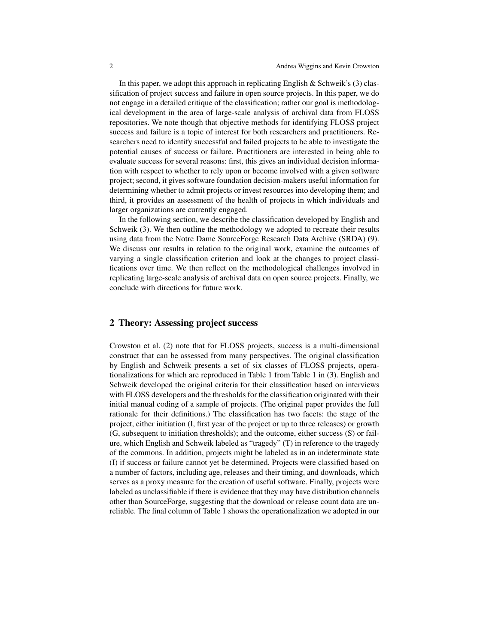In this paper, we adopt this approach in replicating English  $\&$  Schweik's (3) classification of project success and failure in open source projects. In this paper, we do not engage in a detailed critique of the classification; rather our goal is methodological development in the area of large-scale analysis of archival data from FLOSS repositories. We note though that objective methods for identifying FLOSS project success and failure is a topic of interest for both researchers and practitioners. Researchers need to identify successful and failed projects to be able to investigate the potential causes of success or failure. Practitioners are interested in being able to evaluate success for several reasons: first, this gives an individual decision information with respect to whether to rely upon or become involved with a given software project; second, it gives software foundation decision-makers useful information for determining whether to admit projects or invest resources into developing them; and third, it provides an assessment of the health of projects in which individuals and larger organizations are currently engaged.

In the following section, we describe the classification developed by English and Schweik (3). We then outline the methodology we adopted to recreate their results using data from the Notre Dame SourceForge Research Data Archive (SRDA) (9). We discuss our results in relation to the original work, examine the outcomes of varying a single classification criterion and look at the changes to project classifications over time. We then reflect on the methodological challenges involved in replicating large-scale analysis of archival data on open source projects. Finally, we conclude with directions for future work.

# 2 Theory: Assessing project success

Crowston et al. (2) note that for FLOSS projects, success is a multi-dimensional construct that can be assessed from many perspectives. The original classification by English and Schweik presents a set of six classes of FLOSS projects, operationalizations for which are reproduced in Table 1 from Table 1 in (3). English and Schweik developed the original criteria for their classification based on interviews with FLOSS developers and the thresholds for the classification originated with their initial manual coding of a sample of projects. (The original paper provides the full rationale for their definitions.) The classification has two facets: the stage of the project, either initiation (I, first year of the project or up to three releases) or growth (G, subsequent to initiation thresholds); and the outcome, either success (S) or failure, which English and Schweik labeled as "tragedy" (T) in reference to the tragedy of the commons. In addition, projects might be labeled as in an indeterminate state (I) if success or failure cannot yet be determined. Projects were classified based on a number of factors, including age, releases and their timing, and downloads, which serves as a proxy measure for the creation of useful software. Finally, projects were labeled as unclassifiable if there is evidence that they may have distribution channels other than SourceForge, suggesting that the download or release count data are unreliable. The final column of Table 1 shows the operationalization we adopted in our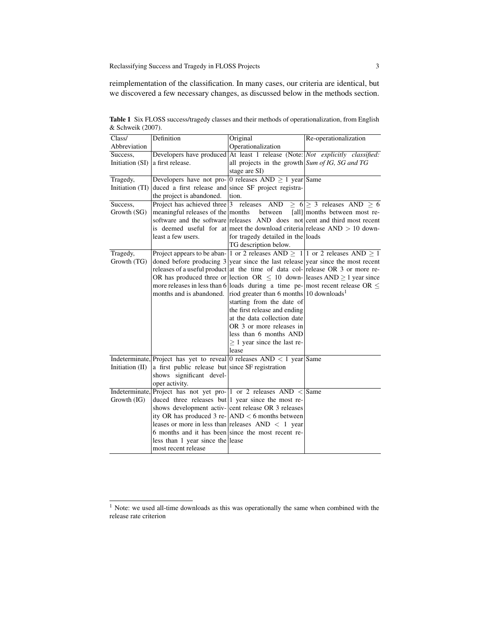reimplementation of the classification. In many cases, our criteria are identical, but we discovered a few necessary changes, as discussed below in the methods section.

|                   | <b>Table 1</b> Six FLOSS success/tragedy classes and their methods of operationalization, from English |  |  |  |
|-------------------|--------------------------------------------------------------------------------------------------------|--|--|--|
| & Schweik (2007). |                                                                                                        |  |  |  |

| Class/          | Definition                                                              | Original                                                                           | Re-operationalization                                                                 |
|-----------------|-------------------------------------------------------------------------|------------------------------------------------------------------------------------|---------------------------------------------------------------------------------------|
| Abbreviation    |                                                                         | Operationalization                                                                 |                                                                                       |
| Success.        |                                                                         |                                                                                    | Developers have produced At least 1 release (Note: Not explicitly classified:         |
| Initiation (SI) | a first release.                                                        | all projects in the growth $Sum of IG$ , SG and TG                                 |                                                                                       |
|                 |                                                                         | stage are SI)                                                                      |                                                                                       |
| Tragedy,        |                                                                         | Developers have not pro- 0 releases $AND \ge 1$ year Same                          |                                                                                       |
| Initiation (TI) | duced a first release and since SF project registra-                    |                                                                                    |                                                                                       |
|                 | the project is abandoned.                                               | tion.                                                                              |                                                                                       |
| Success,        |                                                                         |                                                                                    | Project has achieved three 3 releases AND $\geq 6$ $\geq 3$ releases AND $\geq 6$     |
| Growth (SG)     | meaningful releases of the months                                       | between                                                                            | [all] months between most re-                                                         |
|                 |                                                                         |                                                                                    | software and the software releases AND does not cent and third most recent            |
|                 |                                                                         |                                                                                    | is deemed useful for at meet the download criteria release AND $> 10$ down-           |
|                 | least a few users.                                                      | for tragedy detailed in the loads                                                  |                                                                                       |
|                 |                                                                         | TG description below.                                                              |                                                                                       |
| Tragedy,        |                                                                         |                                                                                    | Project appears to be aban- 1 or 2 releases AND $\geq 1/1$ or 2 releases AND $\geq 1$ |
| Growth (TG)     |                                                                         |                                                                                    | doned before producing $3$ year since the last release year since the most recent     |
|                 |                                                                         | releases of a useful product at the time of data col- $ $ release OR 3 or more re- |                                                                                       |
|                 |                                                                         |                                                                                    | OR has produced three or lection OR $\leq$ 10 down-leases AND $\geq$ 1 year since     |
|                 |                                                                         | more releases in less than 6 loads during a time pe- most recent release OR $\leq$ |                                                                                       |
|                 | months and is abandoned.                                                | riod greater than 6 months 10 downloads <sup>1</sup>                               |                                                                                       |
|                 |                                                                         | starting from the date of                                                          |                                                                                       |
|                 |                                                                         | the first release and ending                                                       |                                                                                       |
|                 |                                                                         | at the data collection date                                                        |                                                                                       |
|                 |                                                                         | OR 3 or more releases in                                                           |                                                                                       |
|                 |                                                                         | less than 6 months AND                                                             |                                                                                       |
|                 |                                                                         | $\geq$ 1 year since the last re-                                                   |                                                                                       |
|                 |                                                                         | lease                                                                              |                                                                                       |
|                 | Indeterminate, Project has yet to reveal 0 releases $AND < 1$ year Same |                                                                                    |                                                                                       |
| Initiation (II) | a first public release but since SF registration                        |                                                                                    |                                                                                       |
|                 | shows significant devel-                                                |                                                                                    |                                                                                       |
|                 | oper activity.                                                          |                                                                                    |                                                                                       |
|                 |                                                                         |                                                                                    |                                                                                       |
| Growth $(IG)$   | duced three releases but 1 year since the most re-                      |                                                                                    |                                                                                       |
|                 |                                                                         | shows development activ-cent release OR 3 releases                                 |                                                                                       |
|                 |                                                                         | ity OR has produced 3 re- $ AND  < 6$ months between                               |                                                                                       |
|                 |                                                                         | leases or more in less than releases $AND < 1$ year                                |                                                                                       |
|                 | 6 months and it has been since the most recent re-                      |                                                                                    |                                                                                       |
|                 | less than 1 year since the lease                                        |                                                                                    |                                                                                       |
|                 | most recent release                                                     |                                                                                    |                                                                                       |

<sup>&</sup>lt;sup>1</sup> Note: we used all-time downloads as this was operationally the same when combined with the release rate criterion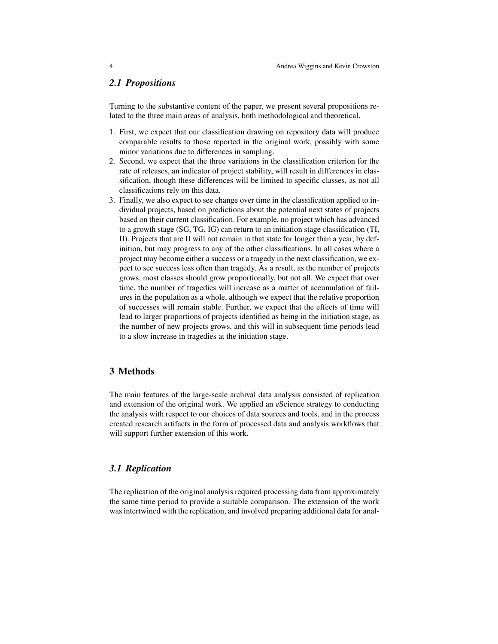# *2.1 Propositions*

Turning to the substantive content of the paper, we present several propositions related to the three main areas of analysis, both methodological and theoretical.

- 1. First, we expect that our classification drawing on repository data will produce comparable results to those reported in the original work, possibly with some minor variations due to differences in sampling.
- 2. Second, we expect that the three variations in the classification criterion for the rate of releases, an indicator of project stability, will result in differences in classification, though these differences will be limited to specific classes, as not all classifications rely on this data.
- 3. Finally, we also expect to see change over time in the classification applied to individual projects, based on predictions about the potential next states of projects based on their current classification. For example, no project which has advanced to a growth stage (SG, TG, IG) can return to an initiation stage classification (TI, II). Projects that are II will not remain in that state for longer than a year, by definition, but may progress to any of the other classifications. In all cases where a project may become either a success or a tragedy in the next classification, we expect to see success less often than tragedy. As a result, as the number of projects grows, most classes should grow proportionally, but not all. We expect that over time, the number of tragedies will increase as a matter of accumulation of failures in the population as a whole, although we expect that the relative proportion of successes will remain stable. Further, we expect that the effects of time will lead to larger proportions of projects identified as being in the initiation stage, as the number of new projects grows, and this will in subsequent time periods lead to a slow increase in tragedies at the initiation stage.

# 3 Methods

The main features of the large-scale archival data analysis consisted of replication and extension of the original work. We applied an eScience strategy to conducting the analysis with respect to our choices of data sources and tools, and in the process created research artifacts in the form of processed data and analysis workflows that will support further extension of this work.

# *3.1 Replication*

The replication of the original analysis required processing data from approximately the same time period to provide a suitable comparison. The extension of the work was intertwined with the replication, and involved preparing additional data for anal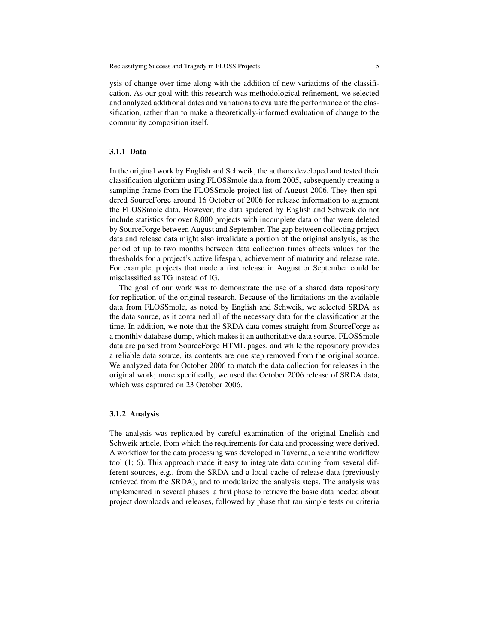ysis of change over time along with the addition of new variations of the classification. As our goal with this research was methodological refinement, we selected and analyzed additional dates and variations to evaluate the performance of the classification, rather than to make a theoretically-informed evaluation of change to the community composition itself.

#### 3.1.1 Data

In the original work by English and Schweik, the authors developed and tested their classification algorithm using FLOSSmole data from 2005, subsequently creating a sampling frame from the FLOSSmole project list of August 2006. They then spidered SourceForge around 16 October of 2006 for release information to augment the FLOSSmole data. However, the data spidered by English and Schweik do not include statistics for over 8,000 projects with incomplete data or that were deleted by SourceForge between August and September. The gap between collecting project data and release data might also invalidate a portion of the original analysis, as the period of up to two months between data collection times affects values for the thresholds for a project's active lifespan, achievement of maturity and release rate. For example, projects that made a first release in August or September could be misclassified as TG instead of IG.

The goal of our work was to demonstrate the use of a shared data repository for replication of the original research. Because of the limitations on the available data from FLOSSmole, as noted by English and Schweik, we selected SRDA as the data source, as it contained all of the necessary data for the classification at the time. In addition, we note that the SRDA data comes straight from SourceForge as a monthly database dump, which makes it an authoritative data source. FLOSSmole data are parsed from SourceForge HTML pages, and while the repository provides a reliable data source, its contents are one step removed from the original source. We analyzed data for October 2006 to match the data collection for releases in the original work; more specifically, we used the October 2006 release of SRDA data, which was captured on 23 October 2006.

#### 3.1.2 Analysis

The analysis was replicated by careful examination of the original English and Schweik article, from which the requirements for data and processing were derived. A workflow for the data processing was developed in Taverna, a scientific workflow tool (1; 6). This approach made it easy to integrate data coming from several different sources, e.g., from the SRDA and a local cache of release data (previously retrieved from the SRDA), and to modularize the analysis steps. The analysis was implemented in several phases: a first phase to retrieve the basic data needed about project downloads and releases, followed by phase that ran simple tests on criteria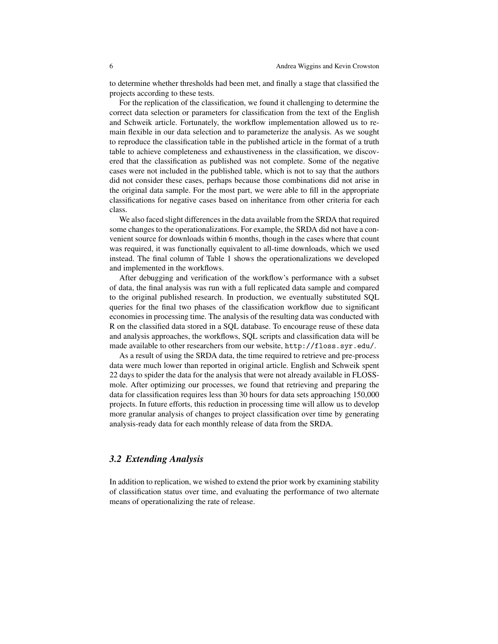to determine whether thresholds had been met, and finally a stage that classified the projects according to these tests.

For the replication of the classification, we found it challenging to determine the correct data selection or parameters for classification from the text of the English and Schweik article. Fortunately, the workflow implementation allowed us to remain flexible in our data selection and to parameterize the analysis. As we sought to reproduce the classification table in the published article in the format of a truth table to achieve completeness and exhaustiveness in the classification, we discovered that the classification as published was not complete. Some of the negative cases were not included in the published table, which is not to say that the authors did not consider these cases, perhaps because those combinations did not arise in the original data sample. For the most part, we were able to fill in the appropriate classifications for negative cases based on inheritance from other criteria for each class.

We also faced slight differences in the data available from the SRDA that required some changes to the operationalizations. For example, the SRDA did not have a convenient source for downloads within 6 months, though in the cases where that count was required, it was functionally equivalent to all-time downloads, which we used instead. The final column of Table 1 shows the operationalizations we developed and implemented in the workflows.

After debugging and verification of the workflow's performance with a subset of data, the final analysis was run with a full replicated data sample and compared to the original published research. In production, we eventually substituted SQL queries for the final two phases of the classification workflow due to significant economies in processing time. The analysis of the resulting data was conducted with R on the classified data stored in a SQL database. To encourage reuse of these data and analysis approaches, the workflows, SQL scripts and classification data will be made available to other researchers from our website, http://floss.syr.edu/.

As a result of using the SRDA data, the time required to retrieve and pre-process data were much lower than reported in original article. English and Schweik spent 22 days to spider the data for the analysis that were not already available in FLOSSmole. After optimizing our processes, we found that retrieving and preparing the data for classification requires less than 30 hours for data sets approaching 150,000 projects. In future efforts, this reduction in processing time will allow us to develop more granular analysis of changes to project classification over time by generating analysis-ready data for each monthly release of data from the SRDA.

### *3.2 Extending Analysis*

In addition to replication, we wished to extend the prior work by examining stability of classification status over time, and evaluating the performance of two alternate means of operationalizing the rate of release.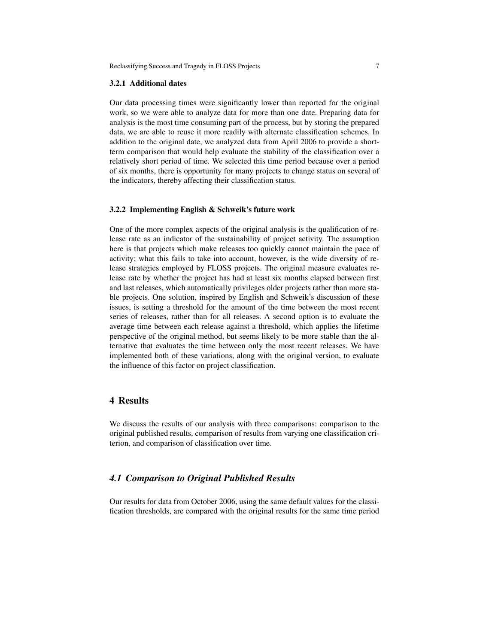#### 3.2.1 Additional dates

Our data processing times were significantly lower than reported for the original work, so we were able to analyze data for more than one date. Preparing data for analysis is the most time consuming part of the process, but by storing the prepared data, we are able to reuse it more readily with alternate classification schemes. In addition to the original date, we analyzed data from April 2006 to provide a shortterm comparison that would help evaluate the stability of the classification over a relatively short period of time. We selected this time period because over a period of six months, there is opportunity for many projects to change status on several of the indicators, thereby affecting their classification status.

#### 3.2.2 Implementing English & Schweik's future work

One of the more complex aspects of the original analysis is the qualification of release rate as an indicator of the sustainability of project activity. The assumption here is that projects which make releases too quickly cannot maintain the pace of activity; what this fails to take into account, however, is the wide diversity of release strategies employed by FLOSS projects. The original measure evaluates release rate by whether the project has had at least six months elapsed between first and last releases, which automatically privileges older projects rather than more stable projects. One solution, inspired by English and Schweik's discussion of these issues, is setting a threshold for the amount of the time between the most recent series of releases, rather than for all releases. A second option is to evaluate the average time between each release against a threshold, which applies the lifetime perspective of the original method, but seems likely to be more stable than the alternative that evaluates the time between only the most recent releases. We have implemented both of these variations, along with the original version, to evaluate the influence of this factor on project classification.

# 4 Results

We discuss the results of our analysis with three comparisons: comparison to the original published results, comparison of results from varying one classification criterion, and comparison of classification over time.

# *4.1 Comparison to Original Published Results*

Our results for data from October 2006, using the same default values for the classification thresholds, are compared with the original results for the same time period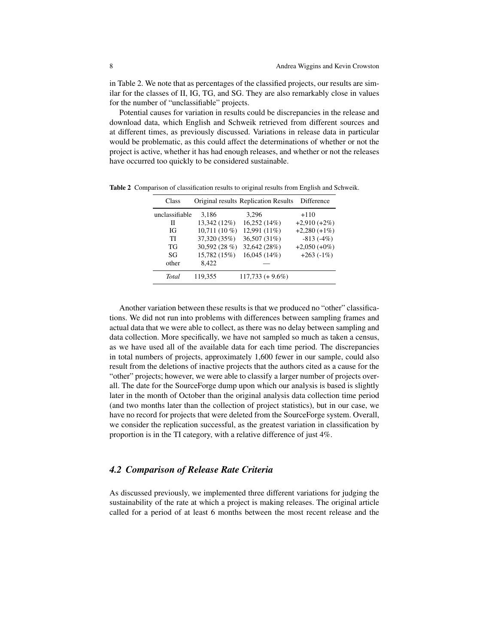in Table 2. We note that as percentages of the classified projects, our results are similar for the classes of II, IG, TG, and SG. They are also remarkably close in values for the number of "unclassifiable" projects.

Potential causes for variation in results could be discrepancies in the release and download data, which English and Schweik retrieved from different sources and at different times, as previously discussed. Variations in release data in particular would be problematic, as this could affect the determinations of whether or not the project is active, whether it has had enough releases, and whether or not the releases have occurred too quickly to be considered sustainable.

| Class          |                | Original results Replication Results | Difference      |
|----------------|----------------|--------------------------------------|-----------------|
| unclassifiable | 3.186          | 3.296                                | $+110$          |
| Н              | 13,342 (12%)   | 16,252(14%)                          | $+2,910 (+2%)$  |
| Юf             | $10,711(10\%)$ | 12,991 (11%)                         | $+2,280 (+1\%)$ |
| TI             | 37,320 (35%)   | 36,507 (31%)                         | $-813(-4%)$     |
| TG             | 30,592 (28 %)  | 32,642 (28%)                         | $+2,050 (+0\%)$ |
| SG             | 15,782 (15%)   | 16,045 (14%)                         | $+263(-1%)$     |
| other          | 8.422          |                                      |                 |
| <b>Total</b>   | 119,355        | $117,733 (+ 9.6%)$                   |                 |

Table 2 Comparison of classification results to original results from English and Schweik.

Another variation between these results is that we produced no "other" classifications. We did not run into problems with differences between sampling frames and actual data that we were able to collect, as there was no delay between sampling and data collection. More specifically, we have not sampled so much as taken a census, as we have used all of the available data for each time period. The discrepancies in total numbers of projects, approximately 1,600 fewer in our sample, could also result from the deletions of inactive projects that the authors cited as a cause for the "other" projects; however, we were able to classify a larger number of projects overall. The date for the SourceForge dump upon which our analysis is based is slightly later in the month of October than the original analysis data collection time period (and two months later than the collection of project statistics), but in our case, we have no record for projects that were deleted from the SourceForge system. Overall, we consider the replication successful, as the greatest variation in classification by proportion is in the TI category, with a relative difference of just 4%.

# *4.2 Comparison of Release Rate Criteria*

As discussed previously, we implemented three different variations for judging the sustainability of the rate at which a project is making releases. The original article called for a period of at least 6 months between the most recent release and the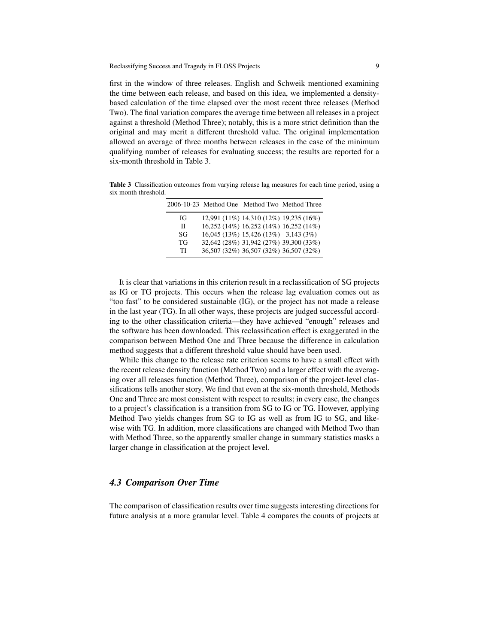first in the window of three releases. English and Schweik mentioned examining the time between each release, and based on this idea, we implemented a densitybased calculation of the time elapsed over the most recent three releases (Method Two). The final variation compares the average time between all releases in a project against a threshold (Method Three); notably, this is a more strict definition than the original and may merit a different threshold value. The original implementation allowed an average of three months between releases in the case of the minimum qualifying number of releases for evaluating success; the results are reported for a six-month threshold in Table 3.

Table 3 Classification outcomes from varying release lag measures for each time period, using a six month threshold.

|           |                                            | 2006-10-23 Method One Method Two Method Three |
|-----------|--------------------------------------------|-----------------------------------------------|
| ЮŦ        |                                            | 12,991 (11%) 14,310 (12%) 19,235 (16%)        |
| П         |                                            | 16,252 (14%) 16,252 (14%) 16,252 (14%)        |
| SG        | $16,045(13\%)$ $15,426(13\%)$ $3,143(3\%)$ |                                               |
| <b>TG</b> |                                            | 32,642 (28%) 31,942 (27%) 39,300 (33%)        |
| TI        |                                            | 36,507 (32%) 36,507 (32%) 36,507 (32%)        |
|           |                                            |                                               |

It is clear that variations in this criterion result in a reclassification of SG projects as IG or TG projects. This occurs when the release lag evaluation comes out as "too fast" to be considered sustainable (IG), or the project has not made a release in the last year (TG). In all other ways, these projects are judged successful according to the other classification criteria—they have achieved "enough" releases and the software has been downloaded. This reclassification effect is exaggerated in the comparison between Method One and Three because the difference in calculation method suggests that a different threshold value should have been used.

While this change to the release rate criterion seems to have a small effect with the recent release density function (Method Two) and a larger effect with the averaging over all releases function (Method Three), comparison of the project-level classifications tells another story. We find that even at the six-month threshold, Methods One and Three are most consistent with respect to results; in every case, the changes to a project's classification is a transition from SG to IG or TG. However, applying Method Two yields changes from SG to IG as well as from IG to SG, and likewise with TG. In addition, more classifications are changed with Method Two than with Method Three, so the apparently smaller change in summary statistics masks a larger change in classification at the project level.

# *4.3 Comparison Over Time*

The comparison of classification results over time suggests interesting directions for future analysis at a more granular level. Table 4 compares the counts of projects at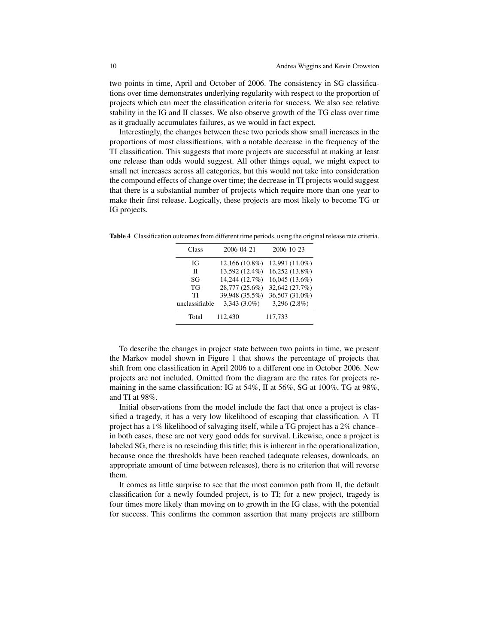two points in time, April and October of 2006. The consistency in SG classifications over time demonstrates underlying regularity with respect to the proportion of projects which can meet the classification criteria for success. We also see relative stability in the IG and II classes. We also observe growth of the TG class over time as it gradually accumulates failures, as we would in fact expect.

Interestingly, the changes between these two periods show small increases in the proportions of most classifications, with a notable decrease in the frequency of the TI classification. This suggests that more projects are successful at making at least one release than odds would suggest. All other things equal, we might expect to small net increases across all categories, but this would not take into consideration the compound effects of change over time; the decrease in TI projects would suggest that there is a substantial number of projects which require more than one year to make their first release. Logically, these projects are most likely to become TG or IG projects.

| Class          | 2006-04-21     | 2006-10-23     |
|----------------|----------------|----------------|
| Юf             | 12,166 (10.8%) | 12,991 (11.0%) |
| Π              | 13,592 (12.4%) | 16,252 (13.8%) |
| SG             | 14,244 (12.7%) | 16,045 (13.6%) |
| TG             | 28,777 (25.6%) | 32,642 (27.7%) |
| ТI             | 39,948 (35.5%) | 36,507 (31.0%) |
| unclassifiable | 3,343 (3.0%)   | 3,296 (2.8%)   |
| Total          | 112.430        | 117,733        |

Table 4 Classification outcomes from different time periods, using the original release rate criteria.

To describe the changes in project state between two points in time, we present the Markov model shown in Figure 1 that shows the percentage of projects that shift from one classification in April 2006 to a different one in October 2006. New projects are not included. Omitted from the diagram are the rates for projects remaining in the same classification: IG at 54%, II at 56%, SG at 100%, TG at 98%, and TI at 98%.

Initial observations from the model include the fact that once a project is classified a tragedy, it has a very low likelihood of escaping that classification. A TI project has a 1% likelihood of salvaging itself, while a TG project has a 2% chance– in both cases, these are not very good odds for survival. Likewise, once a project is labeled SG, there is no rescinding this title; this is inherent in the operationalization, because once the thresholds have been reached (adequate releases, downloads, an appropriate amount of time between releases), there is no criterion that will reverse them.

It comes as little surprise to see that the most common path from II, the default classification for a newly founded project, is to TI; for a new project, tragedy is four times more likely than moving on to growth in the IG class, with the potential for success. This confirms the common assertion that many projects are stillborn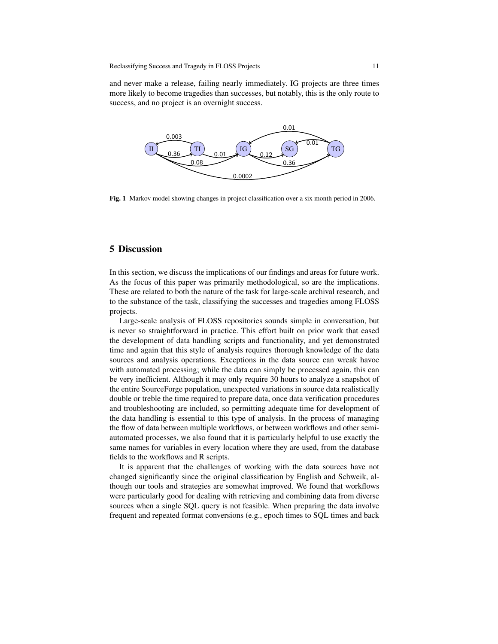and never make a release, failing nearly immediately. IG projects are three times more likely to become tragedies than successes, but notably, this is the only route to success, and no project is an overnight success.



Fig. 1 Markov model showing changes in project classification over a six month period in 2006.

# 5 Discussion

In this section, we discuss the implications of our findings and areas for future work. As the focus of this paper was primarily methodological, so are the implications. These are related to both the nature of the task for large-scale archival research, and to the substance of the task, classifying the successes and tragedies among FLOSS projects.

Large-scale analysis of FLOSS repositories sounds simple in conversation, but is never so straightforward in practice. This effort built on prior work that eased the development of data handling scripts and functionality, and yet demonstrated time and again that this style of analysis requires thorough knowledge of the data sources and analysis operations. Exceptions in the data source can wreak havoc with automated processing; while the data can simply be processed again, this can be very inefficient. Although it may only require 30 hours to analyze a snapshot of the entire SourceForge population, unexpected variations in source data realistically double or treble the time required to prepare data, once data verification procedures and troubleshooting are included, so permitting adequate time for development of the data handling is essential to this type of analysis. In the process of managing the flow of data between multiple workflows, or between workflows and other semiautomated processes, we also found that it is particularly helpful to use exactly the same names for variables in every location where they are used, from the database fields to the workflows and R scripts.

It is apparent that the challenges of working with the data sources have not changed significantly since the original classification by English and Schweik, although our tools and strategies are somewhat improved. We found that workflows were particularly good for dealing with retrieving and combining data from diverse sources when a single SQL query is not feasible. When preparing the data involve frequent and repeated format conversions (e.g., epoch times to SQL times and back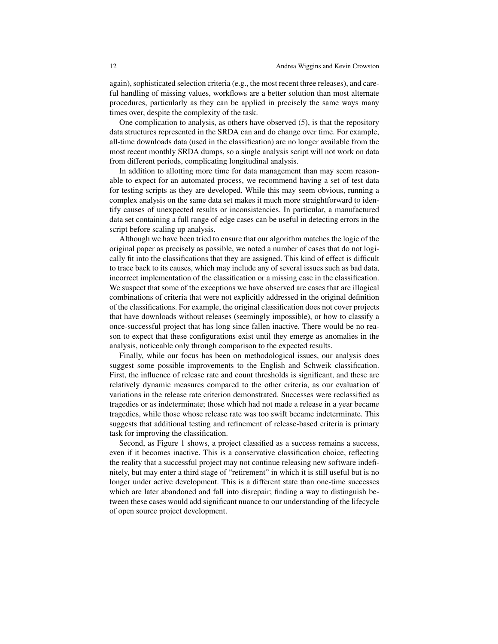again), sophisticated selection criteria (e.g., the most recent three releases), and careful handling of missing values, workflows are a better solution than most alternate procedures, particularly as they can be applied in precisely the same ways many times over, despite the complexity of the task.

One complication to analysis, as others have observed (5), is that the repository data structures represented in the SRDA can and do change over time. For example, all-time downloads data (used in the classification) are no longer available from the most recent monthly SRDA dumps, so a single analysis script will not work on data from different periods, complicating longitudinal analysis.

In addition to allotting more time for data management than may seem reasonable to expect for an automated process, we recommend having a set of test data for testing scripts as they are developed. While this may seem obvious, running a complex analysis on the same data set makes it much more straightforward to identify causes of unexpected results or inconsistencies. In particular, a manufactured data set containing a full range of edge cases can be useful in detecting errors in the script before scaling up analysis.

Although we have been tried to ensure that our algorithm matches the logic of the original paper as precisely as possible, we noted a number of cases that do not logically fit into the classifications that they are assigned. This kind of effect is difficult to trace back to its causes, which may include any of several issues such as bad data, incorrect implementation of the classification or a missing case in the classification. We suspect that some of the exceptions we have observed are cases that are illogical combinations of criteria that were not explicitly addressed in the original definition of the classifications. For example, the original classification does not cover projects that have downloads without releases (seemingly impossible), or how to classify a once-successful project that has long since fallen inactive. There would be no reason to expect that these configurations exist until they emerge as anomalies in the analysis, noticeable only through comparison to the expected results.

Finally, while our focus has been on methodological issues, our analysis does suggest some possible improvements to the English and Schweik classification. First, the influence of release rate and count thresholds is significant, and these are relatively dynamic measures compared to the other criteria, as our evaluation of variations in the release rate criterion demonstrated. Successes were reclassified as tragedies or as indeterminate; those which had not made a release in a year became tragedies, while those whose release rate was too swift became indeterminate. This suggests that additional testing and refinement of release-based criteria is primary task for improving the classification.

Second, as Figure 1 shows, a project classified as a success remains a success, even if it becomes inactive. This is a conservative classification choice, reflecting the reality that a successful project may not continue releasing new software indefinitely, but may enter a third stage of "retirement" in which it is still useful but is no longer under active development. This is a different state than one-time successes which are later abandoned and fall into disrepair; finding a way to distinguish between these cases would add significant nuance to our understanding of the lifecycle of open source project development.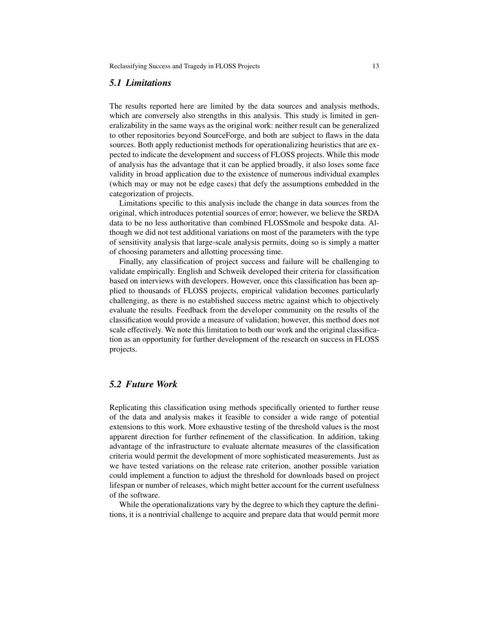#### *5.1 Limitations*

The results reported here are limited by the data sources and analysis methods, which are conversely also strengths in this analysis. This study is limited in generalizability in the same ways as the original work: neither result can be generalized to other repositories beyond SourceForge, and both are subject to flaws in the data sources. Both apply reductionist methods for operationalizing heuristics that are expected to indicate the development and success of FLOSS projects. While this mode of analysis has the advantage that it can be applied broadly, it also loses some face validity in broad application due to the existence of numerous individual examples (which may or may not be edge cases) that defy the assumptions embedded in the categorization of projects.

Limitations specific to this analysis include the change in data sources from the original, which introduces potential sources of error; however, we believe the SRDA data to be no less authoritative than combined FLOSSmole and bespoke data. Although we did not test additional variations on most of the parameters with the type of sensitivity analysis that large-scale analysis permits, doing so is simply a matter of choosing parameters and allotting processing time.

Finally, any classification of project success and failure will be challenging to validate empirically. English and Schweik developed their criteria for classification based on interviews with developers. However, once this classification has been applied to thousands of FLOSS projects, empirical validation becomes particularly challenging, as there is no established success metric against which to objectively evaluate the results. Feedback from the developer community on the results of the classification would provide a measure of validation; however, this method does not scale effectively. We note this limitation to both our work and the original classification as an opportunity for further development of the research on success in FLOSS projects.

# *5.2 Future Work*

Replicating this classification using methods specifically oriented to further reuse of the data and analysis makes it feasible to consider a wide range of potential extensions to this work. More exhaustive testing of the threshold values is the most apparent direction for further refinement of the classification. In addition, taking advantage of the infrastructure to evaluate alternate measures of the classification criteria would permit the development of more sophisticated measurements. Just as we have tested variations on the release rate criterion, another possible variation could implement a function to adjust the threshold for downloads based on project lifespan or number of releases, which might better account for the current usefulness of the software.

While the operationalizations vary by the degree to which they capture the definitions, it is a nontrivial challenge to acquire and prepare data that would permit more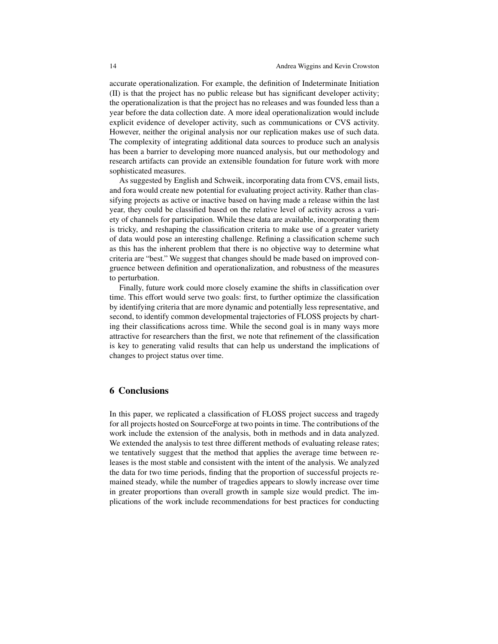accurate operationalization. For example, the definition of Indeterminate Initiation (II) is that the project has no public release but has significant developer activity; the operationalization is that the project has no releases and was founded less than a year before the data collection date. A more ideal operationalization would include explicit evidence of developer activity, such as communications or CVS activity. However, neither the original analysis nor our replication makes use of such data. The complexity of integrating additional data sources to produce such an analysis has been a barrier to developing more nuanced analysis, but our methodology and research artifacts can provide an extensible foundation for future work with more sophisticated measures.

As suggested by English and Schweik, incorporating data from CVS, email lists, and fora would create new potential for evaluating project activity. Rather than classifying projects as active or inactive based on having made a release within the last year, they could be classified based on the relative level of activity across a variety of channels for participation. While these data are available, incorporating them is tricky, and reshaping the classification criteria to make use of a greater variety of data would pose an interesting challenge. Refining a classification scheme such as this has the inherent problem that there is no objective way to determine what criteria are "best." We suggest that changes should be made based on improved congruence between definition and operationalization, and robustness of the measures to perturbation.

Finally, future work could more closely examine the shifts in classification over time. This effort would serve two goals: first, to further optimize the classification by identifying criteria that are more dynamic and potentially less representative, and second, to identify common developmental trajectories of FLOSS projects by charting their classifications across time. While the second goal is in many ways more attractive for researchers than the first, we note that refinement of the classification is key to generating valid results that can help us understand the implications of changes to project status over time.

### 6 Conclusions

In this paper, we replicated a classification of FLOSS project success and tragedy for all projects hosted on SourceForge at two points in time. The contributions of the work include the extension of the analysis, both in methods and in data analyzed. We extended the analysis to test three different methods of evaluating release rates; we tentatively suggest that the method that applies the average time between releases is the most stable and consistent with the intent of the analysis. We analyzed the data for two time periods, finding that the proportion of successful projects remained steady, while the number of tragedies appears to slowly increase over time in greater proportions than overall growth in sample size would predict. The implications of the work include recommendations for best practices for conducting